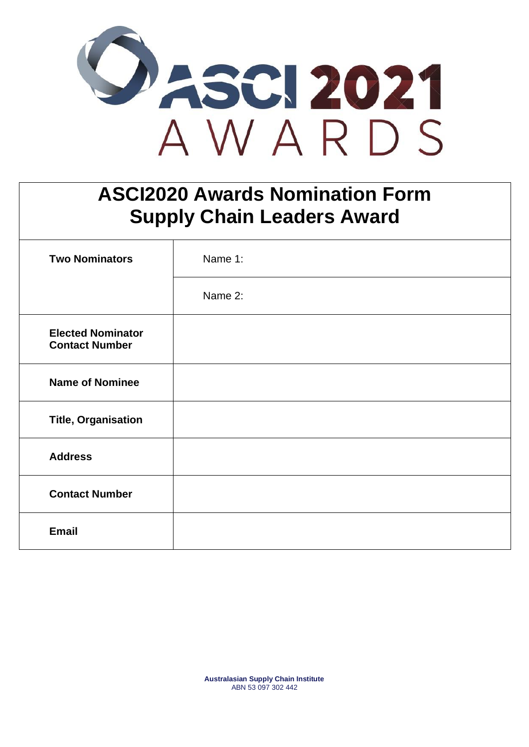

## **ASCI2020 Awards Nomination Form Supply Chain Leaders Award**

| <b>Two Nominators</b>                             | Name 1: |
|---------------------------------------------------|---------|
|                                                   | Name 2: |
| <b>Elected Nominator</b><br><b>Contact Number</b> |         |
| <b>Name of Nominee</b>                            |         |
| <b>Title, Organisation</b>                        |         |
| <b>Address</b>                                    |         |
| <b>Contact Number</b>                             |         |
| <b>Email</b>                                      |         |